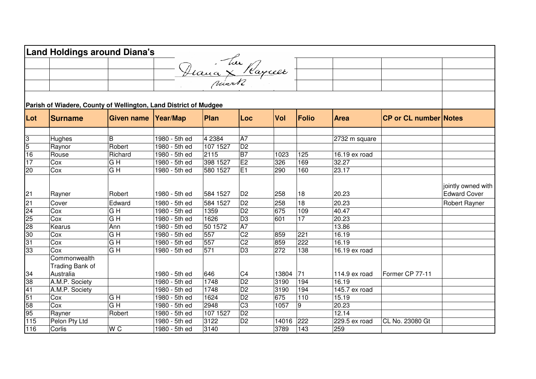|                  | <b>Land Holdings around Diana's</b>                              |                   |               |                   |                 |            |                 |                 |                              |                                           |
|------------------|------------------------------------------------------------------|-------------------|---------------|-------------------|-----------------|------------|-----------------|-----------------|------------------------------|-------------------------------------------|
|                  |                                                                  |                   |               |                   |                 |            |                 |                 |                              |                                           |
|                  |                                                                  |                   |               | - Deana X Raycell |                 |            |                 |                 |                              |                                           |
|                  |                                                                  |                   |               |                   |                 |            |                 |                 |                              |                                           |
|                  |                                                                  |                   |               |                   |                 |            |                 |                 |                              |                                           |
|                  |                                                                  |                   |               |                   |                 |            |                 |                 |                              |                                           |
|                  | Parish of Wiadere, County of Wellington, Land District of Mudgee |                   |               |                   |                 |            |                 |                 |                              |                                           |
| Lot              | <b>Surname</b>                                                   | <b>Given name</b> | Year/Map      | Plan              | Loc             | Vol        | <b>Folio</b>    | <b>Area</b>     | <b>CP or CL number Notes</b> |                                           |
|                  |                                                                  |                   |               |                   |                 |            |                 |                 |                              |                                           |
| 3                | Hughes                                                           | B                 | 1980 - 5th ed | 4 2 3 8 4         | $\overline{A7}$ |            |                 | 2732 m square   |                              |                                           |
| $\overline{5}$   | Raynor                                                           | Robert            | 1980 - 5th ed | 107 1527          | D2              |            |                 |                 |                              |                                           |
| 16               | Rouse                                                            | Richard           | 1980 - 5th ed | 2115              | B7              | 1023       | 125             | 16.19 ex road   |                              |                                           |
| 17               | Cox                                                              | $\overline{G}$ H  | 1980 - 5th ed | 398 1527          | E2              | 326        | 169             | 32.27           |                              |                                           |
| 20               | Cox                                                              | $\overline{G}$ H  | 1980 - 5th ed | 580 1527          | E1              | 290        | 160             | 23.17           |                              |                                           |
| 21               | Rayner                                                           | Robert            | 1980 - 5th ed | 584 1527          | D <sub>2</sub>  | 258        | 18              | 20.23           |                              | jointly owned with<br><b>Edward Cover</b> |
|                  |                                                                  | Edward            |               |                   | D <sub>2</sub>  |            | 18              | 20.23           |                              |                                           |
| 21               | Cover                                                            |                   | 1980 - 5th ed | 584 1527          | $\overline{D2}$ | 258<br>675 |                 |                 |                              | Robert Rayner                             |
| 24               | Cox                                                              | $\overline{G}$ H  | 1980 - 5th ed | 1359              |                 |            | 109             | 40.47           |                              |                                           |
| 25               | Cox                                                              | G H               | 1980 - 5th ed | 1626              | $\overline{D3}$ | 601        | $\overline{17}$ | 20.23           |                              |                                           |
| 28               | Kearus                                                           | Ann               | 1980 - 5th ed | 50 1572           | $\overline{A7}$ |            |                 | 13.86           |                              |                                           |
| 30               | Cox                                                              | G H               | 1980 - 5th ed | 557               | C <sub>2</sub>  | 859        | 221             | 16.19           |                              |                                           |
| 31               | Cox                                                              | G H               | 1980 - 5th ed | 557               | C <sub>2</sub>  | 859        | 222             | 16.19           |                              |                                           |
| 33               | Cox                                                              | $\overline{G}$ H  | 1980 - 5th ed | 571               | $\overline{D3}$ | 272        | 138             | 16.19 ex road   |                              |                                           |
|                  | Commonwealth                                                     |                   |               |                   |                 |            |                 |                 |                              |                                           |
|                  | Trading Bank of                                                  |                   |               |                   |                 |            |                 |                 |                              |                                           |
| 34               | Australia                                                        |                   | 1980 - 5th ed | 646               | C <sub>4</sub>  | 13804      | 71              | 114.9 ex road   | Former CP 77-11              |                                           |
| 38               | A.M.P. Society                                                   |                   | 1980 - 5th ed | 1748              | $\overline{D2}$ | 3190       | 194             | 16.19           |                              |                                           |
| $\overline{41}$  | A.M.P. Society                                                   |                   | 1980 - 5th ed | 1748              | $\overline{D2}$ | 3190       | 194             | $145.7$ ex road |                              |                                           |
| $\overline{51}$  | Cox                                                              | $\overline{G}$ H  | 1980 - 5th ed | 1624              | D <sub>2</sub>  | 675        | 110             | 15.19           |                              |                                           |
| 58               | Cox                                                              | G H               | 1980 - 5th ed | 2948              | C <sub>3</sub>  | 1057       | 9               | 20.23           |                              |                                           |
| 95               | Rayner                                                           | Robert            | 1980 - 5th ed | 107 1527          | $\overline{D2}$ |            |                 | 12.14           |                              |                                           |
| $\overline{115}$ | Pelon Pty Ltd                                                    |                   | 1980 - 5th ed | 3122              | $\overline{D2}$ | 14016      | 222             | 229.5 ex road   | CL No. 23080 Gt              |                                           |
| 116              | Corlis                                                           | W <sub>C</sub>    | 1980 - 5th ed | 3140              |                 | 3789       | 143             | 259             |                              |                                           |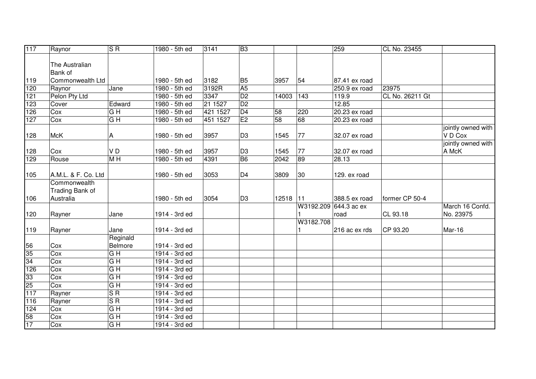| 117 | Raynor              | $\overline{\mathsf{S} \mathsf{R}}$ | 1980 - 5th ed | 3141     | B <sub>3</sub>  |                 |                 | 259                   | CL No. 23455    |                    |
|-----|---------------------|------------------------------------|---------------|----------|-----------------|-----------------|-----------------|-----------------------|-----------------|--------------------|
|     |                     |                                    |               |          |                 |                 |                 |                       |                 |                    |
|     | The Australian      |                                    |               |          |                 |                 |                 |                       |                 |                    |
|     | <b>Bank</b> of      |                                    |               |          |                 |                 |                 |                       |                 |                    |
| 119 | Commonwealth Ltd    |                                    | 1980 - 5th ed | 3182     | B <sub>5</sub>  | 3957            | 54              | 87.41 ex road         |                 |                    |
| 120 | Raynor              | Jane                               | 1980 - 5th ed | 3192R    | A <sub>5</sub>  |                 |                 | 250.9 ex road         | 23975           |                    |
| 121 | Pelon Pty Ltd       |                                    | 1980 - 5th ed | 3347     | $\overline{D2}$ | 14003           | $\frac{143}{ }$ | 119.9                 | CL No. 26211 Gt |                    |
| 123 | Cover               | Edward                             | 1980 - 5th ed | 21 1527  | $\overline{D2}$ |                 |                 | 12.85                 |                 |                    |
| 126 | Cox                 | G H                                | 1980 - 5th ed | 421 1527 | $\overline{D4}$ | 58              | 220             | 20.23 ex road         |                 |                    |
| 127 | Cox                 | G H                                | 1980 - 5th ed | 451 1527 | E2              | $\overline{58}$ | 68              | 20.23 ex road         |                 |                    |
|     |                     |                                    |               |          |                 |                 |                 |                       |                 | jointly owned with |
| 128 | <b>McK</b>          | А                                  | 1980 - 5th ed | 3957     | D <sub>3</sub>  | 1545            | 77              | 32.07 ex road         |                 | VD Cox             |
|     |                     |                                    |               |          |                 |                 |                 |                       |                 | jointly owned with |
| 128 | Cox                 | VD                                 | 1980 - 5th ed | 3957     | D <sub>3</sub>  | 1545            | 77              | 32.07 ex road         |                 | A McK              |
| 129 | Rouse               | M <sub>H</sub>                     | 1980 - 5th ed | 4391     | <b>B6</b>       | 2042            | 89              | 28.13                 |                 |                    |
|     |                     |                                    |               |          |                 |                 |                 |                       |                 |                    |
| 105 | A.M.L. & F. Co. Ltd |                                    | 1980 - 5th ed | 3053     | D <sub>4</sub>  | 3809            | 30              | 129. ex road          |                 |                    |
|     | Commonwealth        |                                    |               |          |                 |                 |                 |                       |                 |                    |
|     | Trading Bank of     |                                    |               |          |                 |                 |                 |                       |                 |                    |
| 106 | Australia           |                                    | 1980 - 5th ed | 3054     | D <sub>3</sub>  | 12518 11        |                 | 388.5 ex road         | former CP 50-4  |                    |
|     |                     |                                    |               |          |                 |                 |                 | W3192.209 644.3 ac ex |                 | March 16 Confd.    |
| 120 | Rayner              | Jane                               | 1914 - 3rd ed |          |                 |                 |                 | road                  | CL 93.18        | No. 23975          |
|     |                     |                                    |               |          |                 |                 | W3182.708       |                       |                 |                    |
| 119 | Rayner              | Jane                               | 1914 - 3rd ed |          |                 |                 |                 | 216 ac ex rds         | CP 93.20        | Mar-16             |
|     |                     | Reginald                           |               |          |                 |                 |                 |                       |                 |                    |
| 56  | Cox                 | Belmore                            | 1914 - 3rd ed |          |                 |                 |                 |                       |                 |                    |
| 35  | Cox                 | $\overline{G}$ H                   | 1914 - 3rd ed |          |                 |                 |                 |                       |                 |                    |
| 34  | Cox                 | $G$ H                              | 1914 - 3rd ed |          |                 |                 |                 |                       |                 |                    |
| 126 | Cox                 | $G$ H                              | 1914 - 3rd ed |          |                 |                 |                 |                       |                 |                    |
| 33  | Cox                 | G H                                | 1914 - 3rd ed |          |                 |                 |                 |                       |                 |                    |
| 25  | Cox                 | G H                                | 1914 - 3rd ed |          |                 |                 |                 |                       |                 |                    |
| 117 | Rayner              | S <sub>R</sub>                     | 1914 - 3rd ed |          |                 |                 |                 |                       |                 |                    |
| 116 | Rayner              | $\overline{\text{S} \text{R}}$     | 1914 - 3rd ed |          |                 |                 |                 |                       |                 |                    |
| 124 | Cox                 | $\overline{G}$ H                   | 1914 - 3rd ed |          |                 |                 |                 |                       |                 |                    |
| 58  | Cox                 | $\overline{G}$ H                   | 1914 - 3rd ed |          |                 |                 |                 |                       |                 |                    |
| 17  | Cox                 | $\overline{G}$ H                   | 1914 - 3rd ed |          |                 |                 |                 |                       |                 |                    |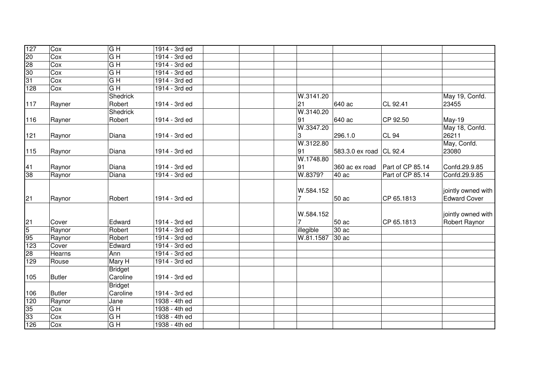| 127                                        | Cox           | G H              | 1914 - 3rd ed   |                |                 |                  |                     |
|--------------------------------------------|---------------|------------------|-----------------|----------------|-----------------|------------------|---------------------|
| 20                                         | Cox           | G <sub>H</sub>   | 1914 - 3rd ed   |                |                 |                  |                     |
| $\begin{array}{c}\n 28 \\ 30\n\end{array}$ | Cox           | G <sub>H</sub>   | 1914 - 3rd ed   |                |                 |                  |                     |
|                                            | Cox           | G <sub>H</sub>   | 1914 - 3rd ed   |                |                 |                  |                     |
| 31                                         | Cox           | G H              | 1914 - 3rd ed   |                |                 |                  |                     |
| 128                                        | Cox           | $\overline{G}$ H | 1914 - 3rd ed   |                |                 |                  |                     |
|                                            |               | Shedrick         |                 | W.3141.20      |                 |                  | May 19, Confd.      |
| 117                                        | Rayner        | Robert           | 1914 - 3rd ed   | 21             | 640 ac          | CL 92.41         | 23455               |
|                                            |               | <b>Shedrick</b>  |                 | W.3140.20      |                 |                  |                     |
| 116                                        | Rayner        | Robert           | 1914 - 3rd ed   | 91             | 640 ac          | CP 92.50         | <b>May-19</b>       |
|                                            |               |                  |                 | W.3347.20      |                 |                  | May 18, Confd.      |
| 121                                        | Raynor        | Diana            | 1914 - 3rd ed   | 3              | 296.1.0         | <b>CL 94</b>     | 26211               |
|                                            |               |                  |                 | W.3122.80      |                 |                  | May, Confd.         |
| 115                                        | Raynor        | Diana            | 1914 - 3rd ed   | 91             | 583.3.0 ex road | CL 92.4          | 23080               |
|                                            |               |                  |                 | W.1748.80      |                 |                  |                     |
| 41                                         | Raynor        | Diana            | 1914 - 3rd ed   | 91             | 360 ac ex road  | Part of CP 85.14 | Confd.29.9.85       |
| 38                                         | Raynor        | Diana            | 1914 - 3rd ed   | W.8379?        | 40ac            | Part of CP 85.14 | Confd.29.9.85       |
|                                            |               |                  |                 |                |                 |                  |                     |
|                                            |               |                  |                 | W.584.152      |                 |                  | jointly owned with  |
| 21                                         | Raynor        | Robert           | 1914 - 3rd ed   | 7              | 50 ac           | CP 65.1813       | <b>Edward Cover</b> |
|                                            |               |                  |                 |                |                 |                  |                     |
|                                            |               |                  |                 | W.584.152      |                 |                  | jointly owned with  |
|                                            | Cover         | Edward           | 1914 - 3rd ed   | $\overline{7}$ | 50 ac           | CP 65.1813       | Robert Raynor       |
| $\frac{21}{5}$                             | Raynor        | Robert           | 1914 - 3rd ed   | illegible      | 30ac            |                  |                     |
| 95                                         | Raynor        | Robert           | 1914 - 3rd ed   | W.81.1587      | 30ac            |                  |                     |
| 123                                        | Cover         | Edward           | 1914 - 3rd ed   |                |                 |                  |                     |
| 28                                         | Hearns        | Ann              | 1914 - 3rd ed   |                |                 |                  |                     |
| 129                                        | Rouse         | Mary H           | 1914 - 3rd ed   |                |                 |                  |                     |
|                                            |               | <b>Bridget</b>   |                 |                |                 |                  |                     |
| 105                                        | <b>Butler</b> | Caroline         | 1914 - 3rd ed   |                |                 |                  |                     |
|                                            |               | <b>Bridget</b>   |                 |                |                 |                  |                     |
| 106                                        | <b>Butler</b> | Caroline         | 1914 - 3rd ed   |                |                 |                  |                     |
| 120                                        | Raynor        | Jane             | 1938 - 4th ed   |                |                 |                  |                     |
| 35                                         | Cox           | G H              | 1938 - 4th ed   |                |                 |                  |                     |
| 33                                         | Cox           | $\overline{G}$ H | 1938 - 4th ed   |                |                 |                  |                     |
| 126                                        | Cox           | G H              | $1938 - 4th$ ed |                |                 |                  |                     |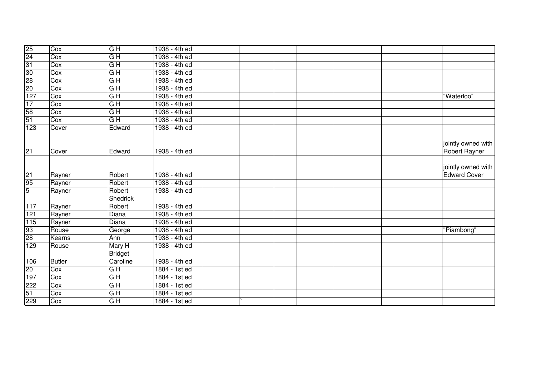| 25              | Cox           | G H              | 1938 - 4th ed   |                                           |
|-----------------|---------------|------------------|-----------------|-------------------------------------------|
| 24              | Cox           | $G$ H            | 1938 - 4th ed   |                                           |
| 31              | Cox           | G H              | 1938 - 4th ed   |                                           |
| 30              | Cox           | $G$ H            | 1938 - 4th ed   |                                           |
| 28              | Cox           | $G$ H            | 1938 - 4th ed   |                                           |
| $\overline{20}$ | Cox           | G H              | 1938 - 4th ed   |                                           |
| 127             | Cox           | G <sub>H</sub>   | 1938 - 4th ed   | "Waterloo"                                |
| 17              | Cox           | $G$ H            | 1938 - 4th ed   |                                           |
| 58              | Cox           | G H              | 1938 - 4th ed   |                                           |
| 51              | Cox           | $\overline{G}$ H | 1938 - 4th ed   |                                           |
| 123             | Cover         | Edward           | 1938 - 4th ed   |                                           |
| 21              | Cover         | Edward           | 1938 - 4th ed   | jointly owned with<br>Robert Rayner       |
| 21              | Rayner        | Robert           | 1938 - 4th ed   | jointly owned with<br><b>Edward Cover</b> |
| 95              | Rayner        | Robert           | 1938 - 4th ed   |                                           |
| $\overline{5}$  | Rayner        | Robert           | 1938 - 4th ed   |                                           |
|                 |               | <b>Shedrick</b>  |                 |                                           |
| 117             | Rayner        | Robert           | 1938 - 4th ed   |                                           |
| 121             | Rayner        | Diana            | 1938 - 4th ed   |                                           |
| 115             | Rayner        | Diana            | 1938 - 4th ed   |                                           |
| 93              | Rouse         | George           | 1938 - 4th ed   | "Piambong"                                |
| $\overline{28}$ | Kearns        | Ann              | 1938 - 4th ed   |                                           |
| 129             | Rouse         | Mary H           | 1938 - 4th ed   |                                           |
|                 |               | <b>Bridget</b>   |                 |                                           |
| 106             | <b>Butler</b> | Caroline         | 1938 - 4th ed   |                                           |
| 20              | Cox           | G H              | 1884 - 1st ed   |                                           |
| 197             | Cox           | $G$ H            | $1884 - 1st$ ed |                                           |
| 222             | Cox           | G <sub>H</sub>   | 1884 - 1st ed   |                                           |
| 51              | Cox           | G H              | $1884 - 1st$ ed |                                           |
| 229             | Cox           | $\overline{G}$ H | $1884 - 1st$ ed |                                           |